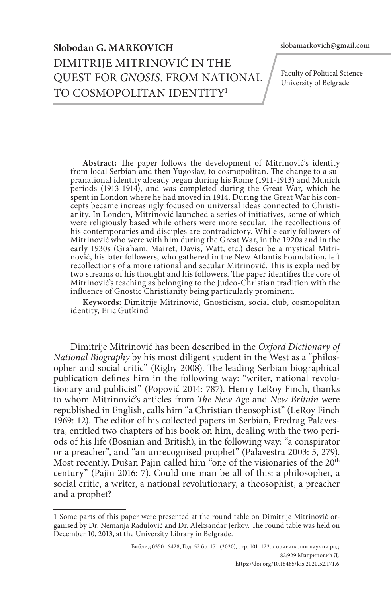slobamarkovich@gmail.com

# **Slobodan G. MARKOVICH** DIMITRIJE MITRINOVIĆ IN THE QUEST FOR *GNOSIS*. FROM NATIONAL TO COSMOPOLITAN IDENTITY1

Faculty of Political Science University of Belgrade

**Abstract:** The paper follows the development of Mitrinović's identity from local Serbian and then Yugoslav, to cosmopolitan. The change to a supranational identity already began during his Rome (1911-1913) and Munich periods (1913-1914), and was completed during the Great War, which he spent in London where he had moved in 1914. During the Great War his concepts became increasingly focused on universal ideas connected to Christianity. In London, Mitrinović launched a series of initiatives, some of which were religiously based while others were more secular. The recollections of his contemporaries and disciples are contradictory. While early followers of Mitrinović who were with him during the Great War, in the 1920s and in the early 1930s (Graham, Mairet, Davis, Watt, etc.) describe a mystical Mitrinović, his later followers, who gathered in the New Atlantis Foundation, left recollections of a more rational and secular Mitrinović. This is explained by two streams of his thought and his followers. The paper identifies the core of Mitrinović's teaching as belonging to the Judeo-Christian tradition with the influence of Gnostic Christianity being particularly prominent.

**Keywords:** Dimitrije Mitrinović, Gnosticism, social club, cosmopolitan identity, Eric Gutkind

Dimitrije Mitrinović has been described in the *Oxford Dictionary of National Biography* by his most diligent student in the West as a "philosopher and social critic" (Rigby 2008). The leading Serbian biographical publication defines him in the following way: "writer, national revolutionary and publicist" (Popović 2014: 787). Henry LeRoy Finch, thanks to whom Mitrinović's articles from *The New Age* and *New Britain* were republished in English, calls him "a Christian theosophist" (LeRoy Finch 1969: 12). The editor of his collected papers in Serbian, Predrag Palavestra, entitled two chapters of his book on him, dealing with the two periods of his life (Bosnian and British), in the following way: "a conspirator or a preacher", and "an unrecognised prophet" (Palavestra 2003: 5, 279). Most recently, Dušan Pajin called him "one of the visionaries of the 20<sup>th</sup> century" (Pajin 2016: 7). Could one man be all of this: a philosopher, a social critic, a writer, a national revolutionary, a theosophist, a preacher and a prophet?

<sup>1</sup> Some parts of this paper were presented at the round table on Dimitrije Mitrinović organised by Dr. Nemanja Radulović and Dr. Aleksandar Jerkov. The round table was held on December 10, 2013, at the University Library in Belgrade.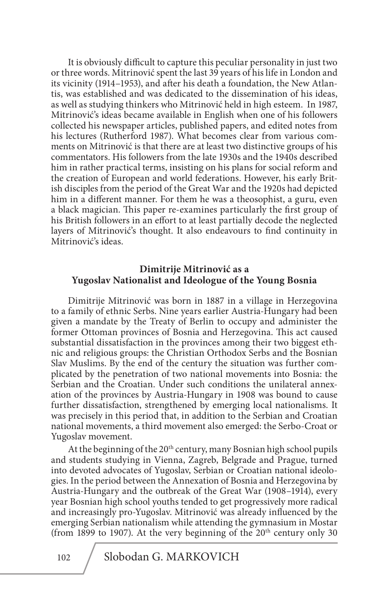It is obviously difficult to capture this peculiar personality in just two or three words. Mitrinović spent the last 39 years of his life in London and its vicinity (1914–1953), and after his death a foundation, the New Atlantis, was established and was dedicated to the dissemination of his ideas, as well as studying thinkers who Mitrinović held in high esteem. In 1987, Mitrinović's ideas became available in English when one of his followers collected his newspaper articles, published papers, and edited notes from his lectures (Rutherford 1987). What becomes clear from various comments on Mitrinović is that there are at least two distinctive groups of his commentators. His followers from the late 1930s and the 1940s described him in rather practical terms, insisting on his plans for social reform and the creation of European and world federations. However, his early British disciples from the period of the Great War and the 1920s had depicted him in a different manner. For them he was a theosophist, a guru, even a black magician. This paper re-examines particularly the first group of his British followers in an effort to at least partially decode the neglected layers of Mitrinović's thought. It also endeavours to find continuity in Mitrinović's ideas.

# **Dimitrije Mitrinović as a Yugoslav Nationalist and Ideologue of the Young Bosnia**

Dimitrije Mitrinović was born in 1887 in a village in Herzegovina to a family of ethnic Serbs. Nine years earlier Austria-Hungary had been given a mandate by the Treaty of Berlin to occupy and administer the former Ottoman provinces of Bosnia and Herzegovina. This act caused substantial dissatisfaction in the provinces among their two biggest ethnic and religious groups: the Christian Orthodox Serbs and the Bosnian Slav Muslims. By the end of the century the situation was further complicated by the penetration of two national movements into Bosnia: the Serbian and the Croatian. Under such conditions the unilateral annexation of the provinces by Austria-Hungary in 1908 was bound to cause further dissatisfaction, strengthened by emerging local nationalisms. It was precisely in this period that, in addition to the Serbian and Croatian national movements, a third movement also emerged: the Serbo-Croat or Yugoslav movement.

At the beginning of the  $20<sup>th</sup>$  century, many Bosnian high school pupils and students studying in Vienna, Zagreb, Belgrade and Prague, turned into devoted advocates of Yugoslav, Serbian or Croatian national ideologies. In the period between the Annexation of Bosnia and Herzegovina by Austria-Hungary and the outbreak of the Great War (1908–1914), every year Bosnian high school youths tended to get progressively more radical and increasingly pro-Yugoslav. Mitrinović was already influenced by the emerging Serbian nationalism while attending the gymnasium in Mostar (from 1899 to 1907). At the very beginning of the  $20<sup>th</sup>$  century only 30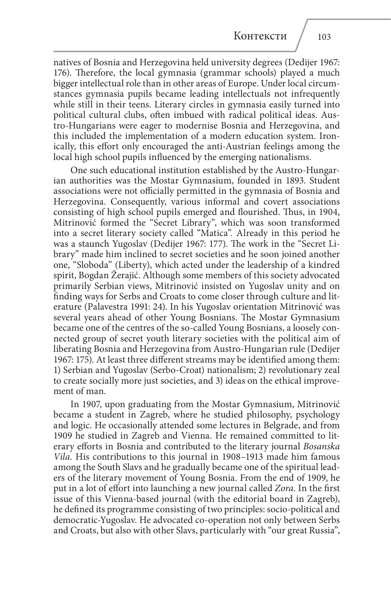natives of Bosnia and Herzegovina held university degrees (Dedijer 1967: 176). Therefore, the local gymnasia (grammar schools) played a much bigger intellectual role than in other areas of Europe. Under local circumstances gymnasia pupils became leading intellectuals not infrequently while still in their teens. Literary circles in gymnasia easily turned into political cultural clubs, often imbued with radical political ideas. Austro-Hungarians were eager to modernise Bosnia and Herzegovina, and this included the implementation of a modern education system. Ironically, this effort only encouraged the anti-Austrian feelings among the local high school pupils influenced by the emerging nationalisms.

One such educational institution established by the Austro-Hungarian authorities was the Mostar Gymnasium, founded in 1893. Student associations were not officially permitted in the gymnasia of Bosnia and Herzegovina. Consequently, various informal and covert associations consisting of high school pupils emerged and flourished. Thus, in 1904, Mitrinović formed the "Secret Library", which was soon transformed into a secret literary society called "Matica"*.* Already in this period he was a staunch Yugoslav (Dedijer 1967: 177). The work in the "Secret Library" made him inclined to secret societies and he soon joined another one, "Sloboda" (Liberty), which acted under the leadership of a kindred spirit, Bogdan Žerajić. Although some members of this society advocated primarily Serbian views, Mitrinović insisted on Yugoslav unity and on finding ways for Serbs and Croats to come closer through culture and literature (Palavestra 1991: 24). In his Yugoslav orientation Mitrinović was several years ahead of other Young Bosnians. The Mostar Gymnasium became one of the centres of the so-called Young Bosnians, a loosely connected group of secret youth literary societies with the political aim of liberating Bosnia and Herzegovina from Austro-Hungarian rule (Dedijer 1967: 175). At least three different streams may be identified among them: 1) Serbian and Yugoslav (Serbo-Croat) nationalism; 2) revolutionary zeal to create socially more just societies, and 3) ideas on the ethical improvement of man.

In 1907, upon graduating from the Mostar Gymnasium, Mitrinović became a student in Zagreb, where he studied philosophy, psychology and logic. He occasionally attended some lectures in Belgrade, and from 1909 he studied in Zagreb and Vienna. He remained committed to literary efforts in Bosnia and contributed to the literary journal *Bosanska Vila*. His contributions to this journal in 1908–1913 made him famous among the South Slavs and he gradually became one of the spiritual leaders of the literary movement of Young Bosnia. From the end of 1909, he put in a lot of effort into launching a new journal called *Zora*. In the first issue of this Vienna-based journal (with the editorial board in Zagreb), he defined its programme consisting of two principles: socio-political and democratic-Yugoslav. He advocated co-operation not only between Serbs and Croats, but also with other Slavs, particularly with "our great Russia",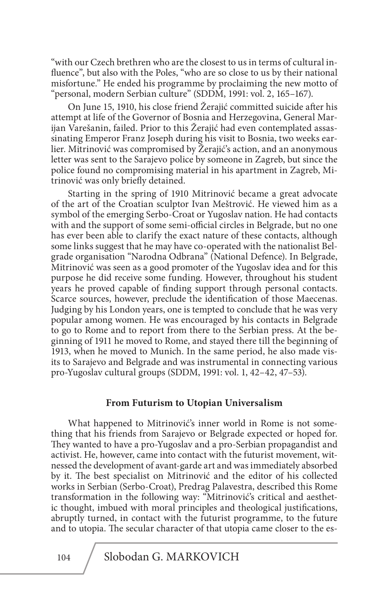"with our Czech brethren who are the closest to us in terms of cultural influence", but also with the Poles, "who are so close to us by their national misfortune." He ended his programme by proclaiming the new motto of "personal, modern Serbian culture" (SDDM, 1991: vol. 2, 165–167).

On June 15, 1910, his close friend Žerajić committed suicide after his attempt at life of the Governor of Bosnia and Herzegovina, General Marijan Varešanin, failed. Prior to this Žerajić had even contemplated assassinating Emperor Franz Joseph during his visit to Bosnia, two weeks earlier. Mitrinović was compromised by Žerajić's action, and an anonymous letter was sent to the Sarajevo police by someone in Zagreb, but since the police found no compromising material in his apartment in Zagreb, Mitrinović was only briefly detained.

Starting in the spring of 1910 Mitrinović became a great advocate of the art of the Croatian sculptor Ivan Meštrović. He viewed him as a symbol of the emerging Serbo-Croat or Yugoslav nation. He had contacts with and the support of some semi-official circles in Belgrade, but no one has ever been able to clarify the exact nature of these contacts, although some links suggest that he may have co-operated with the nationalist Belgrade organisation "Narodna Odbrana" (National Defence). In Belgrade, Mitrinović was seen as a good promoter of the Yugoslav idea and for this purpose he did receive some funding. However, throughout his student years he proved capable of finding support through personal contacts. Scarce sources, however, preclude the identification of those Maecenas. Judging by his London years, one is tempted to conclude that he was very popular among women. He was encouraged by his contacts in Belgrade to go to Rome and to report from there to the Serbian press. At the beginning of 1911 he moved to Rome, and stayed there till the beginning of 1913, when he moved to Munich. In the same period, he also made visits to Sarajevo and Belgrade and was instrumental in connecting various pro-Yugoslav cultural groups (SDDM, 1991: vol. 1, 42–42, 47–53).

# **From Futurism to Utopian Universalism**

What happened to Mitrinović's inner world in Rome is not something that his friends from Sarajevo or Belgrade expected or hoped for. They wanted to have a pro-Yugoslav and a pro-Serbian propagandist and activist. He, however, came into contact with the futurist movement, witnessed the development of avant-garde art and was immediately absorbed by it. The best specialist on Mitrinović and the editor of his collected works in Serbian (Serbo-Croat), Predrag Palavestra, described this Rome transformation in the following way: "Mitrinović's critical and aesthetic thought, imbued with moral principles and theological justifications, abruptly turned, in contact with the futurist programme, to the future and to utopia. The secular character of that utopia came closer to the es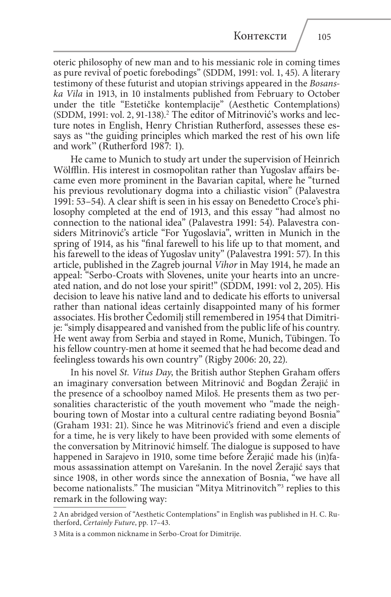oteric philosophy of new man and to his messianic role in coming times as pure revival of poetic forebodings" (SDDM, 1991: vol. 1, 45). A literary testimony of these futurist and utopian strivings appeared in the *Bosanska Vila* in 1913, in 10 instalments published from February to October under the title "Estetičke kontemplacije" (Aesthetic Contemplations)  $(SDDM, 1991: vol. 2, 91-138).$ <sup>2</sup> The editor of Mitrinović's works and lecture notes in English, Henry Christian Rutherford, assesses these essays as "the guiding principles which marked the rest of his own life and work" (Rutherford 1987: 1).

He came to Munich to study art under the supervision of Heinrich Wölfflin. His interest in cosmopolitan rather than Yugoslav affairs became even more prominent in the Bavarian capital, where he "turned his previous revolutionary dogma into a chiliastic vision" (Palavestra 1991: 53–54). A clear shift is seen in his essay on Benedetto Croce's philosophy completed at the end of 1913, and this essay "had almost no connection to the national idea" (Palavestra 1991: 54). Palavestra considers Mitrinović's article "For Yugoslavia", written in Munich in the spring of 1914, as his "final farewell to his life up to that moment, and his farewell to the ideas of Yugoslav unity" (Palavestra 1991: 57). In this article, published in the Zagreb journal *Vihor* in May 1914, he made an appeal: "Serbo-Croats with Slovenes, unite your hearts into an uncreated nation, and do not lose your spirit!" (SDDM, 1991: vol 2, 205). His decision to leave his native land and to dedicate his efforts to universal rather than national ideas certainly disappointed many of his former associates. His brother Čedomilj still remembered in 1954 that Dimitrije: "simply disappeared and vanished from the public life of his country. He went away from Serbia and stayed in Rome, Munich, Тübingen. To his fellow country-men at home it seemed that he had become dead and feelingless towards his own country" (Rigby 2006: 20, 22).

In his novel *St. Vitus Day*, the British author Stephen Graham offers an imaginary conversation between Mitrinović and Bogdan Žerajić in the presence of a schoolboy named Miloš. He presents them as two personalities characteristic of the youth movement who "made the neighbouring town of Mostar into a cultural centre radiating beyond Bosnia" (Graham 1931: 21). Since he was Mitrinović's friend and even a disciple for a time, he is very likely to have been provided with some elements of the conversation by Mitrinović himself. The dialogue is supposed to have happened in Sarajevo in 1910, some time before Žerajić made his (in)famous assassination attempt on Varešanin. In the novel Žerajić says that since 1908, in other words since the annexation of Bosnia, "we have all become nationalists." The musician "Mitya Mitrinovitch"<sup>3</sup> replies to this remark in the following way:

<sup>2</sup> An abridged version of "Aesthetic Contemplations" in English was published in H. C. Rutherford, *Certainly Future*, pp. 17–43.

<sup>3</sup> Mita is a common nickname in Serbo-Croat for Dimitrije.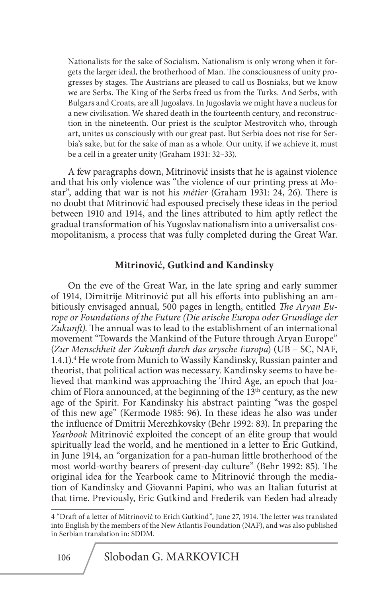Nationalists for the sake of Socialism. Nationalism is only wrong when it forgets the larger ideal, the brotherhood of Man. The consciousness of unity progresses by stages. The Austrians are pleased to call us Bosniaks, but we know we are Serbs. The King of the Serbs freed us from the Turks. And Serbs, with Bulgars and Croats, are all Jugoslavs. In Jugoslavia we might have a nucleus for a new civilisation. We shared death in the fourteenth century, and reconstruction in the nineteenth. Our priest is the sculptor Mestrovitch who, through art, unites us consciously with our great past. But Serbia does not rise for Serbia's sake, but for the sake of man as a whole. Our unity, if we achieve it, must be a cell in a greater unity (Graham 1931: 32–33).

A few paragraphs down, Mitrinović insists that he is against violence and that his only violence was "the violence of our printing press at Mostar", adding that war is not his *métier* (Graham 1931: 24, 26). There is no doubt that Mitrinović had espoused precisely these ideas in the period between 1910 and 1914, and the lines attributed to him aptly reflect the gradual transformation of his Yugoslav nationalism into a universalist cosmopolitanism, a process that was fully completed during the Great War.

# **Mitrinović, Gutkind and Kandinsky**

On the eve of the Great War, in the late spring and early summer of 1914, Dimitrije Mitrinović put all his efforts into publishing an ambitiously envisaged annual, 500 pages in length, entitled *The Aryan Europe or Foundations of the Future (Die arische Europa oder Grundlage der Zukunft)*. The annual was to lead to the establishment of an international movement "Towards the Mankind of the Future through Aryan Europe" (*Zur Menschheit der Zukunft durch das arysche Europa*) (UB – SC, NAF, 1.4.1).<sup>4</sup> He wrote from Munich to Wassily Kandinsky, Russian painter and theorist, that political action was necessary. Kandinsky seems to have believed that mankind was approaching the Third Age, an epoch that Joachim of Flora announced, at the beginning of the  $13<sup>th</sup>$  century, as the new age of the Spirit. For Kandinsky his abstract painting "was the gospel of this new age" (Kermode 1985: 96). In these ideas he also was under the influence of Dmitrii Merezhkovsky (Behr 1992: 83). In preparing the *Yearbook* Mitrinović exploited the concept of an élite group that would spiritually lead the world, and he mentioned in a letter to Eric Gutkind, in June 1914, an "organization for a pan-human little brotherhood of the most world-worthy bearers of present-day culture" (Behr 1992: 85). The original idea for the Yearbook came to Mitrinović through the mediation of Kandinsky and Giovanni Papini, who was an Italian futurist at that time. Previously, Eric Gutkind and Frederik van Eeden had already

<sup>4 &</sup>quot;Draft of a letter of Mitrinović to Erich Gutkind", June 27, 1914. The letter was translated into English by the members of the New Atlantis Foundation (NAF), and was also published in Serbian translation in: SDDM.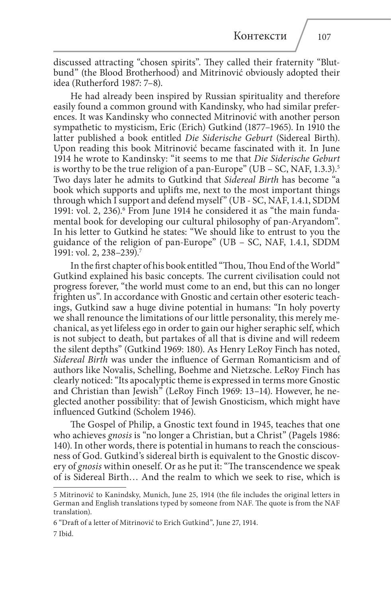discussed attracting "chosen spirits". They called their fraternity "Blutbund" (the Blood Brotherhood) and Mitrinović obviously adopted their idea (Rutherford 1987: 7–8).

He had already been inspired by Russian spirituality and therefore easily found a common ground with Kandinsky, who had similar preferences. It was Kandinsky who connected Mitrinović with another person sympathetic to mysticism, Eric (Erich) Gutkind (1877–1965). In 1910 the latter published a book entitled *Die Siderische Geburt* (Sidereal Birth). Upon reading this book Mitrinović became fascinated with it. In June 1914 he wrote to Kandinsky: "it seems to me that *Die Siderische Geburt*  is worthy to be the true religion of a pan-Europe" (UB – SC, NAF, 1.3.3).<sup>5</sup> Two days later he admits to Gutkind that *Sidereal Birth* has become "a book which supports and uplifts me, next to the most important things through which I support and defend myself" (UB - SC, NAF, 1.4.1, SDDM 1991: vol. 2, 236).<sup>6</sup> From June 1914 he considered it as "the main fundamental book for developing our cultural philosophy of pan-Aryandom". In his letter to Gutkind he states: "We should like to entrust to you the guidance of the religion of pan-Europe" (UB – SC, NAF, 1.4.1, SDDM 1991: vol. 2, 238–239).7

In the first chapter of his book entitled "Thou, Thou End of the World" Gutkind explained his basic concepts. The current civilisation could not progress forever, "the world must come to an end, but this can no longer frighten us". In accordance with Gnostic and certain other esoteric teachings, Gutkind saw a huge divine potential in humans: "In holy poverty we shall renounce the limitations of our little personality, this merely mechanical, as yet lifeless ego in order to gain our higher seraphic self, which is not subject to death, but partakes of all that is divine and will redeem the silent depths" (Gutkind 1969: 180). As Henry LeRoy Finch has noted, *Sidereal Birth* was under the influence of German Romanticism and of authors like Novalis, Schelling, Boehme and Nietzsche. LeRoy Finch has clearly noticed: "Its apocalyptic theme is expressed in terms more Gnostic and Christian than Jewish" (LeRoy Finch 1969: 13–14). However, he neglected another possibility: that of Jewish Gnosticism, which might have influenced Gutkind (Scholem 1946).

The Gospel of Philip, a Gnostic text found in 1945, teaches that one who achieves *gnosis* is "no longer a Christian, but a Christ" (Pagels 1986: 140). In other words, there is potential in humans to reach the consciousness of God. Gutkind's sidereal birth is equivalent to the Gnostic discovery of *gnosis* within oneself. Or as he put it: "The transcendence we speak of is Sidereal Birth… And the realm to which we seek to rise, which is

<sup>5</sup> Mitrinović to Kanindsky, Munich, June 25, 1914 (the file includes the original letters in German and English translations typed by someone from NAF. The quote is from the NAF translation).

<sup>6 &</sup>quot;Draft of a letter of Mitrinović to Erich Gutkind", June 27, 1914. 7 Ibid.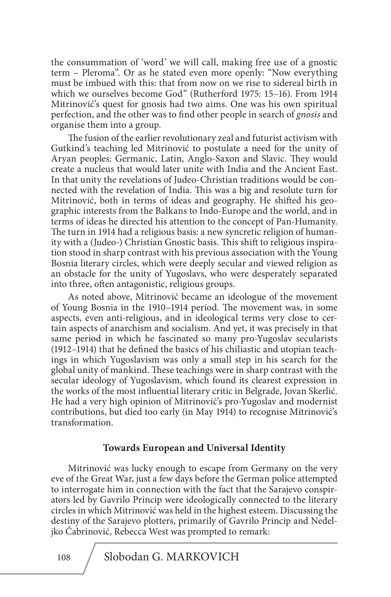the consummation of 'word' we will call, making free use of a gnostic term – Pleroma". Or as he stated even more openly: "Now everything must be imbued with this: that from now on we rise to sidereal birth in which we ourselves become God" (Rutherford 1975: 15–16). From 1914 Mitrinović's quest for gnosis had two aims. One was his own spiritual perfection, and the other was to find other people in search of *gnosis* and organise them into a group.

The fusion of the earlier revolutionary zeal and futurist activism with Gutkind's teaching led Mitrinović to postulate a need for the unity of Aryan peoples: Germanic, Latin, Anglo-Saxon and Slavic. They would create a nucleus that would later unite with India and the Ancient East. In that unity the revelations of Judeo-Christian traditions would be connected with the revelation of India. This was a big and resolute turn for Mitrinović, both in terms of ideas and geography. He shifted his geographic interests from the Balkans to Indo-Europe and the world, and in terms of ideas he directed his attention to the concept of Pan-Humanity. The turn in 1914 had a religious basis: a new syncretic religion of humanity with a (Judeo-) Christian Gnostic basis. This shift to religious inspiration stood in sharp contrast with his previous association with the Young Bosnia literary circles, which were deeply secular and viewed religion as an obstacle for the unity of Yugoslavs, who were desperately separated into three, often antagonistic, religious groups.

As noted above, Mitrinović became an ideologue of the movement of Young Bosnia in the 1910–1914 period. The movement was, in some aspects, even anti-religious, and in ideological terms very close to certain aspects of anarchism and socialism. And yet, it was precisely in that same period in which he fascinated so many pro-Yugoslav secularists (1912–1914) that he defined the basics of his chiliastic and utopian teachings in which Yugoslavism was only a small step in his search for the global unity of mankind. These teachings were in sharp contrast with the secular ideology of Yugoslavism, which found its clearest expression in the works of the most influential literary critic in Belgrade, Jovan Skerlić. He had a very high opinion of Mitrinović's pro-Yugoslav and modernist contributions, but died too early (in May 1914) to recognise Mitrinović's transformation.

# **Towards European and Universal Identity**

Mitrinović was lucky enough to escape from Germany on the very eve of the Great War, just a few days before the German police attempted to interrogate him in connection with the fact that the Sarajevo conspirators led by Gavrilo Princip were ideologically connected to the literary circles in which Mitrinović was held in the highest esteem. Discussing the destiny of the Sarajevo plotters, primarily of Gavrilo Princip and Nedeljko Čabrinović, Rebecca West was prompted to remark: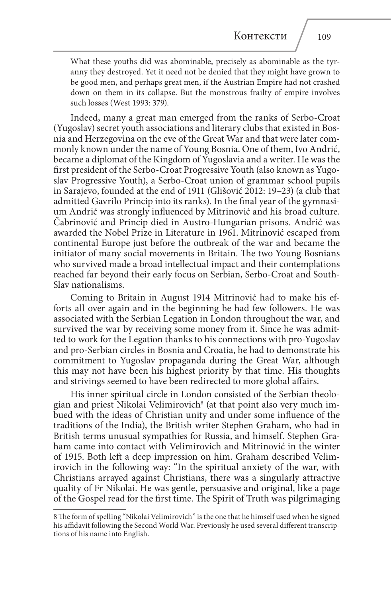What these youths did was abominable, precisely as abominable as the tyranny they destroyed. Yet it need not be denied that they might have grown to be good men, and perhaps great men, if the Austrian Empire had not crashed down on them in its collapse. But the monstrous frailty of empire involves such losses (West 1993: 379).

Indeed, many a great man emerged from the ranks of Serbo-Croat (Yugoslav) secret youth associations and literary clubs that existed in Bosnia and Herzegovina on the eve of the Great War and that were later commonly known under the name of Young Bosnia. One of them, Ivo Andrić, became a diplomat of the Kingdom of Yugoslavia and a writer. He was the first president of the Serbo-Croat Progressive Youth (also known as Yugoslav Progressive Youth), a Serbo-Croat union of grammar school pupils in Sarajevo, founded at the end of 1911 (Glišović 2012: 19–23) (a club that admitted Gavrilo Princip into its ranks). In the final year of the gymnasium Andrić was strongly influenced by Mitrinović and his broad culture. Čabrinović and Princip died in Austro-Hungarian prisons. Andrić was awarded the Nobel Prize in Literature in 1961. Mitrinović escaped from continental Europe just before the outbreak of the war and became the initiator of many social movements in Britain. The two Young Bosnians who survived made a broad intellectual impact and their contemplations reached far beyond their early focus on Serbian, Serbo-Croat and South-Slav nationalisms.

Coming to Britain in August 1914 Mitrinović had to make his efforts all over again and in the beginning he had few followers. He was associated with the Serbian Legation in London throughout the war, and survived the war by receiving some money from it. Since he was admitted to work for the Legation thanks to his connections with pro-Yugoslav and pro-Serbian circles in Bosnia and Croatia, he had to demonstrate his commitment to Yugoslav propaganda during the Great War, although this may not have been his highest priority by that time. His thoughts and strivings seemed to have been redirected to more global affairs.

His inner spiritual circle in London consisted of the Serbian theologian and priest Nikolai Velimirovich<sup>s</sup> (at that point also very much imbued with the ideas of Christian unity and under some influence of the traditions of the India), the British writer Stephen Graham, who had in British terms unusual sympathies for Russia, and himself. Stephen Graham came into contact with Velimirovich and Mitrinović in the winter of 1915. Both left a deep impression on him. Graham described Velimirovich in the following way: "In the spiritual anxiety of the war, with Christians arrayed against Christians, there was a singularly attractive quality of Fr Nikolai. He was gentle, persuasive and original, like a page of the Gospel read for the first time. The Spirit of Truth was pilgrimaging

<sup>8</sup> The form of spelling "Nikolai Velimirovich" is the one that he himself used when he signed his affidavit following the Second World War. Previously he used several different transcriptions of his name into English.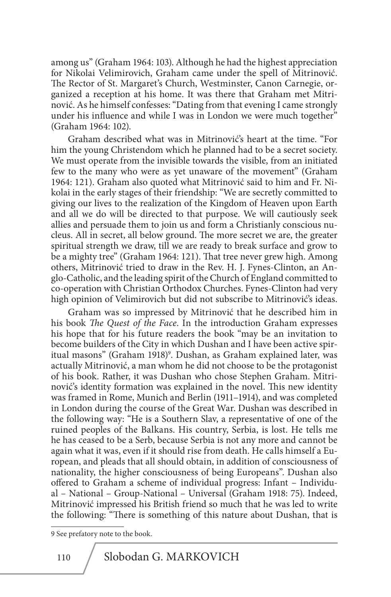among us" (Graham 1964: 103). Although he had the highest appreciation for Nikolai Velimirovich, Graham came under the spell of Mitrinović. The Rector of St. Margaret's Church, Westminster, Canon Carnegie, organized a reception at his home. It was there that Graham met Mitrinović. As he himself confesses: "Dating from that evening I came strongly under his influence and while I was in London we were much together" (Graham 1964: 102).

Graham described what was in Mitrinović's heart at the time. "For him the young Christendom which he planned had to be a secret society. We must operate from the invisible towards the visible, from an initiated few to the many who were as yet unaware of the movement" (Graham 1964: 121). Graham also quoted what Mitrinović said to him and Fr. Nikolai in the early stages of their friendship: "We are secretly committed to giving our lives to the realization of the Kingdom of Heaven upon Earth and all we do will be directed to that purpose. We will cautiously seek allies and persuade them to join us and form a Christianly conscious nucleus. All in secret, all below ground. The more secret we are, the greater spiritual strength we draw, till we are ready to break surface and grow to be a mighty tree" (Graham 1964: 121). That tree never grew high. Among others, Mitrinović tried to draw in the Rev. H. J. Fynes-Clinton, an Anglo-Catholic, and the leading spirit of the Church of England committed to co-operation with Christian Orthodox Churches. Fynes-Clinton had very high opinion of Velimirovich but did not subscribe to Mitrinović's ideas.

Graham was so impressed by Mitrinović that he described him in his book *The Quest of the Face*. In the introduction Graham expresses his hope that for his future readers the book "may be an invitation to become builders of the City in which Dushan and I have been active spiritual masons" (Graham 1918)<sup>9</sup>. Dushan, as Graham explained later, was actually Mitrinović, a man whom he did not choose to be the protagonist of his book. Rather, it was Dushan who chose Stephen Graham. Mitrinović's identity formation was explained in the novel. This new identity was framed in Rome, Munich and Berlin (1911–1914), and was completed in London during the course of the Great War. Dushan was described in the following way: "He is a Southern Slav, a representative of one of the ruined peoples of the Balkans. His country, Serbia, is lost. He tells me he has ceased to be a Serb, because Serbia is not any more and cannot be again what it was, even if it should rise from death. He calls himself a European, and pleads that all should obtain, in addition of consciousness of nationality, the higher consciousness of being Europeans". Dushan also offered to Graham a scheme of individual progress: Infant – Individual – National – Group-National – Universal (Graham 1918: 75). Indeed, Mitrinović impressed his British friend so much that he was led to write the following: "There is something of this nature about Dushan, that is

<sup>9</sup> See prefatory note to the book.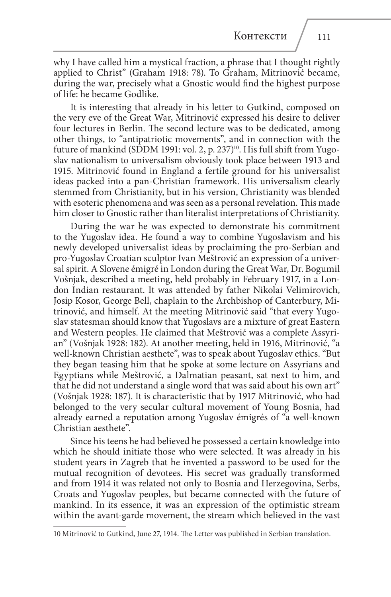why I have called him a mystical fraction, a phrase that I thought rightly applied to Christ" (Graham 1918: 78). To Graham, Mitrinović became, during the war, precisely what a Gnostic would find the highest purpose of life: he became Godlike.

It is interesting that already in his letter to Gutkind, composed on the very eve of the Great War, Mitrinović expressed his desire to deliver four lectures in Berlin. The second lecture was to be dedicated, among other things, to "antipatriotic movements", and in connection with the future of mankind (SDDM 1991: vol. 2, p. 237)<sup>10</sup>. His full shift from Yugoslav nationalism to universalism obviously took place between 1913 and 1915. Mitrinović found in England a fertile ground for his universalist ideas packed into a pan-Christian framework. His universalism clearly stemmed from Christianity, but in his version, Christianity was blended with esoteric phenomena and was seen as a personal revelation. This made him closer to Gnostic rather than literalist interpretations of Christianity.

During the war he was expected to demonstrate his commitment to the Yugoslav idea. He found a way to combine Yugoslavism and his newly developed universalist ideas by proclaiming the pro-Serbian and pro-Yugoslav Croatian sculptor Ivan Meštrović an expression of a universal spirit. A Slovene émigré in London during the Great War, Dr. Bogumil Vošnjak, described a meeting, held probably in February 1917, in a London Indian restaurant. It was attended by father Nikolai Velimirovich, Josip Kosor, George Bell, chaplain to the Archbishop of Canterbury, Mitrinović, and himself. At the meeting Mitrinović said "that every Yugoslav statesman should know that Yugoslavs are a mixture of great Eastern and Western peoples. He claimed that Meštrović was a complete Assyrian" (Vošnjak 1928: 182). At another meeting, held in 1916, Mitrinović, "a well-known Christian aesthete", was to speak about Yugoslav ethics. "But they began teasing him that he spoke at some lecture on Assyrians and Egyptians while Meštrović, a Dalmatian peasant, sat next to him, and that he did not understand a single word that was said about his own art" (Vošnjak 1928: 187). It is characteristic that by 1917 Mitrinović, who had belonged to the very secular cultural movement of Young Bosnia, had already earned a reputation among Yugoslav émigrés of "a well-known Christian aesthete".

Since his teens he had believed he possessed a certain knowledge into which he should initiate those who were selected. It was already in his student years in Zagreb that he invented a password to be used for the mutual recognition of devotees. His secret was gradually transformed and from 1914 it was related not only to Bosnia and Herzegovina, Serbs, Croats and Yugoslav peoples, but became connected with the future of mankind. In its essence, it was an expression of the optimistic stream within the avant-garde movement, the stream which believed in the vast

<sup>10</sup> Mitrinović to Gutkind, June 27, 1914. The Letter was published in Serbian translation.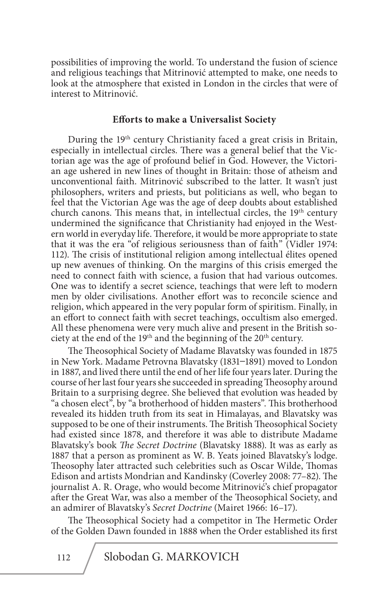possibilities of improving the world. To understand the fusion of science and religious teachings that Mitrinović attempted to make, one needs to look at the atmosphere that existed in London in the circles that were of interest to Mitrinović.

### **Efforts to make a Universalist Society**

During the 19<sup>th</sup> century Christianity faced a great crisis in Britain, especially in intellectual circles. There was a general belief that the Victorian age was the age of profound belief in God. However, the Victorian age ushered in new lines of thought in Britain: those of atheism and unconventional faith. Mitrinović subscribed to the latter. It wasn't just philosophers, writers and priests, but politicians as well, who began to feel that the Victorian Age was the age of deep doubts about established church canons. This means that, in intellectual circles, the  $19<sup>th</sup>$  century undermined the significance that Christianity had enjoyed in the Western world in everyday life. Therefore, it would be more appropriate to state that it was the era "of religious seriousness than of faith" (Vidler 1974: 112). The crisis of institutional religion among intellectual élites opened up new avenues of thinking. On the margins of this crisis emerged the need to connect faith with science, a fusion that had various outcomes. One was to identify a secret science, teachings that were left to modern men by older civilisations. Another effort was to reconcile science and religion, which appeared in the very popular form of spiritism. Finally, in an effort to connect faith with secret teachings, occultism also emerged. All these phenomena were very much alive and present in the British society at the end of the 19<sup>th</sup> and the beginning of the 20<sup>th</sup> century.

The Theosophical Society of Madame Blavatsky was founded in 1875 in New York. Madame Petrovna Blavatsky (1831–1891) moved to London in 1887, and lived there until the end of her life four years later. During the course of her last four years she succeeded in spreading Theosophy around Britain to a surprising degree. She believed that evolution was headed by "a chosen elect", by "a brotherhood of hidden masters". This brotherhood revealed its hidden truth from its seat in Himalayas, and Blavatsky was supposed to be one of their instruments. The British Theosophical Society had existed since 1878, and therefore it was able to distribute Madame Blavatsky's book *The Secret Doctrine* (Blavatsky 1888). It was as early as 1887 that a person as prominent as W. B. Yeats joined Blavatsky's lodge. Theosophy later attracted such celebrities such as Oscar Wilde, Thomas Edison and artists Mondrian and Kandinsky (Coverley 2008: 77–82). The journalist A. R. Orage, who would become Mitrinović's chief propagator after the Great War, was also a member of the Theosophical Society, and an admirer of Blavatsky's *Secret Doctrine* (Mairet 1966: 16–17).

The Theosophical Society had a competitor in The Hermetic Order of the Golden Dawn founded in 1888 when the Order established its first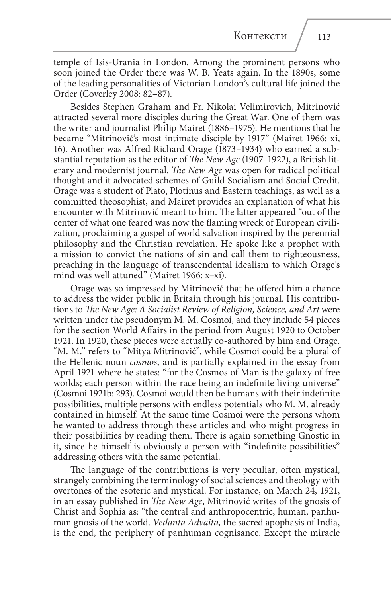temple of Isis-Urania in London. Among the prominent persons who soon joined the Order there was W. B. Yeats again. In the 1890s, some of the leading personalities of Victorian London's cultural life joined the Order (Coverley 2008: 82–87).

Besides Stephen Graham and Fr. Nikolai Velimirovich, Mitrinović attracted several more disciples during the Great War. One of them was the writer and journalist Philip Mairet (1886–1975). He mentions that he became "Mitrinović's most intimate disciple by 1917" (Mairet 1966: xi, 16). Another was Alfred Richard Orage (1873–1934) who earned a substantial reputation as the editor of *The New Age* (1907–1922), a British literary and modernist journal. *The New Age* was open for radical political thought and it advocated schemes of Guild Socialism and Social Credit. Orage was a student of Plato, Plotinus and Eastern teachings, as well as a committed theosophist, and Mairet provides an explanation of what his encounter with Mitrinović meant to him. The latter appeared "out of the center of what one feared was now the flaming wreck of European civilization, proclaiming a gospel of world salvation inspired by the perennial philosophy and the Christian revelation. He spoke like a prophet with a mission to convict the nations of sin and call them to righteousness, preaching in the language of transcendental idealism to which Orage's mind was well attuned" (Mairet 1966: x–xi).

Orage was so impressed by Mitrinović that he offered him a chance to address the wider public in Britain through his journal. His contributions to *The New Age: A Socialist Review of Religion, Science, and Art* were written under the pseudonym M. M. Cosmoi, and they include 54 pieces for the section World Affairs in the period from August 1920 to October 1921. In 1920, these pieces were actually co-authored by him and Orage. "M. M." refers to "Mitya Mitrinović", while Cosmoi could be a plural of the Hellenic noun *cosmos*, and is partially explained in the essay from April 1921 where he states: "for the Cosmos of Man is the galaxy of free worlds; each person within the race being an indefinite living universe" (Cosmoi 1921b: 293). Cosmoi would then be humans with their indefinite possibilities, multiple persons with endless potentials who M. M. already contained in himself. At the same time Cosmoi were the persons whom he wanted to address through these articles and who might progress in their possibilities by reading them. There is again something Gnostic in it, since he himself is obviously a person with "indefinite possibilities" addressing others with the same potential.

The language of the contributions is very peculiar, often mystical, strangely combining the terminology of social sciences and theology with overtones of the esoteric and mystical. For instance, on March 24, 1921, in an essay published in *The New Age*, Mitrinović writes of the gnosis of Christ and Sophia as: "the central and anthropocentric, human, panhuman gnosis of the world. *Vedanta Advaita,* the sacred apophasis of India, is the end, the periphery of panhuman cognisance. Except the miracle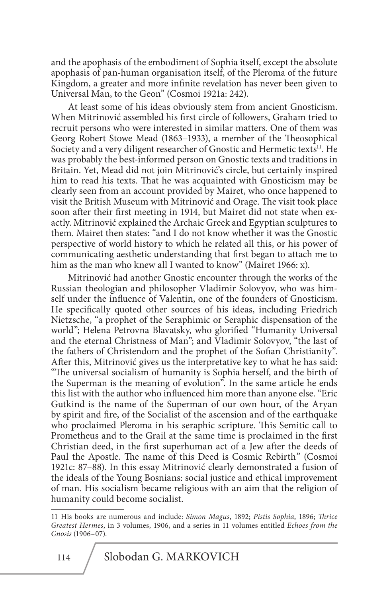and the apophasis of the embodiment of Sophia itself, except the absolute apophasis of pan-human organisation itself, of the Pleroma of the future Kingdom, a greater and more infinite revelation has never been given to Universal Man, to the Geon" (Cosmoi 1921a: 242).

At least some of his ideas obviously stem from ancient Gnosticism. When Mitrinović assembled his first circle of followers, Graham tried to recruit persons who were interested in similar matters. One of them was Georg Robert Stowe Mead (1863–1933), a member of the Theosophical Society and a very diligent researcher of Gnostic and Hermetic texts<sup>11</sup>. He was probably the best-informed person on Gnostic texts and traditions in Britain. Yet, Mead did not join Mitrinović's circle, but certainly inspired him to read his texts. That he was acquainted with Gnosticism may be clearly seen from an account provided by Mairet, who once happened to visit the British Museum with Mitrinović and Orage. The visit took place soon after their first meeting in 1914, but Mairet did not state when exactly. Mitrinović explained the Archaic Greek and Egyptian sculptures to them. Mairet then states: "and I do not know whether it was the Gnostic perspective of world history to which he related all this, or his power of communicating aesthetic understanding that first began to attach me to him as the man who knew all I wanted to know" (Mairet 1966: x).

Mitrinović had another Gnostic encounter through the works of the Russian theologian and philosopher Vladimir Solovyov, who was himself under the influence of Valentin, one of the founders of Gnosticism. He specifically quoted other sources of his ideas, including Friedrich Nietzsche, "a prophet of the Seraphimic or Seraphic dispensation of the world"; Helena Petrovna Blavatsky, who glorified "Humanity Universal and the eternal Christness of Man"; and Vladimir Solovyov, "the last of the fathers of Christendom and the prophet of the Sofian Christianity". After this, Mitrinović gives us the interpretative key to what he has said: "The universal socialism of humanity is Sophia herself, and the birth of the Superman is the meaning of evolution". In the same article he ends this list with the author who influenced him more than anyone else. "Eric Gutkind is the name of the Superman of our own hour, of the Aryan by spirit and fire, of the Socialist of the ascension and of the earthquake who proclaimed Pleroma in his seraphic scripture. This Semitic call to Prometheus and to the Grail at the same time is proclaimed in the first Christian deed, in the first superhuman act of a Jew after the deeds of Paul the Apostle. The name of this Deed is Cosmic Rebirth" (Cosmoi 1921c: 87–88). In this essay Mitrinović clearly demonstrated a fusion of the ideals of the Young Bosnians: social justice and ethical improvement of man. His socialism became religious with an aim that the religion of humanity could become socialist.

<sup>11</sup> His books are numerous and include: *Simon Magus*, 1892; *Pistis Sophia*, 1896; *Thrice Greatest Hermes*, in 3 volumes, 1906, and a series in 11 volumes entitled *Echoes from the Gnosis* (1906–07).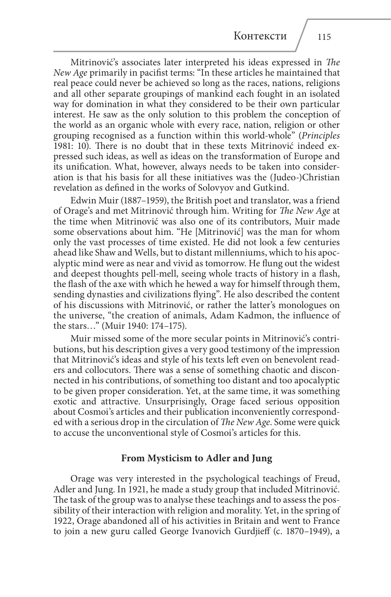Mitrinović's associates later interpreted his ideas expressed in *The New Age* primarily in pacifist terms: "In these articles he maintained that real peace could never be achieved so long as the races, nations, religions and all other separate groupings of mankind each fought in an isolated way for domination in what they considered to be their own particular interest. He saw as the only solution to this problem the conception of the world as an organic whole with every race, nation, religion or other grouping recognised as a function within this world-whole" (*Principles*  1981: 10). There is no doubt that in these texts Mitrinović indeed expressed such ideas, as well as ideas on the transformation of Europe and its unification. What, however, always needs to be taken into consideration is that his basis for all these initiatives was the (Judeo-)Christian revelation as defined in the works of Solovyov and Gutkind.

Edwin Muir (1887–1959), the British poet and translator, was a friend of Orage's and met Mitrinović through him. Writing for *The New Age* at the time when Mitrinović was also one of its contributors, Muir made some observations about him. "He [Mitrinović] was the man for whom only the vast processes of time existed. He did not look a few centuries ahead like Shaw and Wells, but to distant millenniums, which to his apocalyptic mind were as near and vivid as tomorrow. He flung out the widest and deepest thoughts pell-mell, seeing whole tracts of history in a flash, the flash of the axe with which he hewed a way for himself through them, sending dynasties and civilizations flying". He also described the content of his discussions with Mitrinović, or rather the latter's monologues on the universe, "the creation of animals, Adam Kadmon, the influence of the stars…" (Muir 1940: 174–175).

Muir missed some of the more secular points in Mitrinović's contributions, but his description gives a very good testimony of the impression that Mitrinović's ideas and style of his texts left even on benevolent readers and collocutors. There was a sense of something chaotic and disconnected in his contributions, of something too distant and too apocalyptic to be given proper consideration. Yet, at the same time, it was something exotic and attractive. Unsurprisingly, Orage faced serious opposition about Cosmoi's articles and their publication inconveniently corresponded with a serious drop in the circulation of *The New Age*. Some were quick to accuse the unconventional style of Cosmoi's articles for this.

# **From Mysticism to Adler and Jung**

Orage was very interested in the psychological teachings of Freud, Adler and Jung. In 1921, he made a study group that included Mitrinović. The task of the group was to analyse these teachings and to assess the possibility of their interaction with religion and morality. Yet, in the spring of 1922, Orage abandoned all of his activities in Britain and went to France to join a new guru called George Ivanovich Gurdjieff (c. 1870–1949), a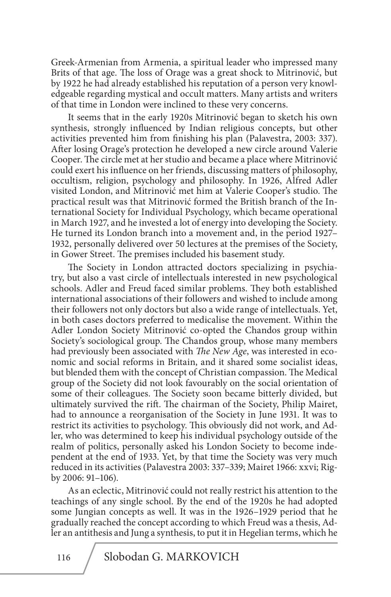Greek-Armenian from Armenia, a spiritual leader who impressed many Brits of that age. The loss of Orage was a great shock to Mitrinović, but by 1922 he had already established his reputation of a person very knowledgeable regarding mystical and occult matters. Many artists and writers of that time in London were inclined to these very concerns.

It seems that in the early 1920s Mitrinović began to sketch his own synthesis, strongly influenced by Indian religious concepts, but other activities prevented him from finishing his plan (Palavestra, 2003: 337). After losing Orage's protection he developed a new circle around Valerie Cooper. The circle met at her studio and became a place where Mitrinović could exert his influence on her friends, discussing matters of philosophy, occultism, religion, psychology and philosophy. In 1926, Alfred Adler visited London, and Mitrinović met him at Valerie Cooper's studio. The practical result was that Mitrinović formed the British branch of the International Society for Individual Psychology, which became operational in March 1927, and he invested a lot of energy into developing the Society. He turned its London branch into a movement and, in the period 1927– 1932, personally delivered over 50 lectures at the premises of the Society, in Gower Street. The premises included his basement study.

The Society in London attracted doctors specializing in psychiatry, but also a vast circle of intellectuals interested in new psychological schools. Adler and Freud faced similar problems. They both established international associations of their followers and wished to include among their followers not only doctors but also a wide range of intellectuals. Yet, in both cases doctors preferred to medicalise the movement. Within the Adler London Society Mitrinović co-opted the Chandos group within Society's sociological group. The Chandos group, whose many members had previously been associated with *The New Age*, was interested in economic and social reforms in Britain, and it shared some socialist ideas, but blended them with the concept of Christian compassion. The Medical group of the Society did not look favourably on the social orientation of some of their colleagues. The Society soon became bitterly divided, but ultimately survived the rift. The chairman of the Society, Philip Mairet, had to announce a reorganisation of the Society in June 1931. It was to restrict its activities to psychology. This obviously did not work, and Adler, who was determined to keep his individual psychology outside of the realm of politics, personally asked his London Society to become independent at the end of 1933. Yet, by that time the Society was very much reduced in its activities (Palavestra 2003: 337–339; Mairet 1966: xxvi; Rigby 2006: 91–106).

As an eclectic, Mitrinović could not really restrict his attention to the teachings of any single school. By the end of the 1920s he had adopted some Jungian concepts as well. It was in the 1926–1929 period that he gradually reached the concept according to which Freud was a thesis, Adler an antithesis and Jung a synthesis, to put it in Hegelian terms, which he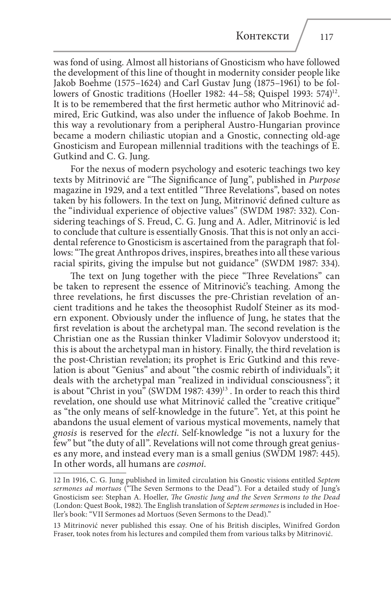was fond of using. Almost all historians of Gnosticism who have followed the development of this line of thought in modernity consider people like Jakob Boehme (1575–1624) and Carl Gustav Jung (1875–1961) to be followers of Gnostic traditions (Hoeller 1982: 44–58; Quispel 1993: 574)<sup>12</sup>. It is to be remembered that the first hermetic author who Mitrinović admired, Eric Gutkind, was also under the influence of Jakob Boehme. In this way a revolutionary from a peripheral Austro-Hungarian province became a modern chiliastic utopian and a Gnostic, connecting old-age Gnosticism and European millennial traditions with the teachings of E. Gutkind and C. G. Jung.

For the nexus of modern psychology and esoteric teachings two key texts by Mitrinović are "The Significance of Jung", published in *Purpose*  magazine in 1929, and a text entitled "Three Revelations", based on notes taken by his followers. In the text on Jung, Mitrinović defined culture as the "individual experience of objective values" (SWDM 1987: 332). Considering teachings of S. Freud, C. G. Jung and A. Adler, Mitrinović is led to conclude that culture is essentially Gnosis. That this is not only an accidental reference to Gnosticism is ascertained from the paragraph that follows: "The great Anthropos drives, inspires, breathes into all these various racial spirits, giving the impulse but not guidance" (SWDM 1987: 334).

The text on Jung together with the piece "Three Revelations" can be taken to represent the essence of Mitrinović's teaching. Among the three revelations, he first discusses the pre-Christian revelation of ancient traditions and he takes the theosophist Rudolf Steiner as its modern exponent. Obviously under the influence of Jung, he states that the first revelation is about the archetypal man. The second revelation is the Christian one as the Russian thinker Vladimir Solovyov understood it; this is about the archetypal man in history. Finally, the third revelation is the post-Christian revelation; its prophet is Eric Gutkind and this revelation is about "Genius" and about "the cosmic rebirth of individuals"; it deals with the archetypal man "realized in individual consciousness"; it is about "Christ in you" (SWDM 1987: 439)<sup>13</sup>. In order to reach this third revelation, one should use what Mitrinović called the "creative critique" as "the only means of self-knowledge in the future". Yet, at this point he abandons the usual element of various mystical movements, namely that *gnosis* is reserved for the *electi*. Self-knowledge "is not a luxury for the few" but "the duty of all". Revelations will not come through great geniuses any more, and instead every man is a small genius (SWDM 1987: 445). In other words, all humans are *cosmoi*.

<sup>12</sup> In 1916, C. G. Jung published in limited circulation his Gnostic visions entitled *Septem sermones ad mortuos* ("The Seven Sermons to the Dead"). For a detailed study of Jung's Gnosticism see: Stephan A. Hoeller, *The Gnostic Jung and the Seven Sermons to the Dead*  (London: Quest Book, 1982). The English translation of *Septem sermones* is included in Hoeller's book: "VII Sermones ad Mortuos (Seven Sermons to the Dead)."

<sup>13</sup> Mitrinović never published this essay. One of his British disciples, Winifred Gordon Fraser, took notes from his lectures and compiled them from various talks by Mitrinović.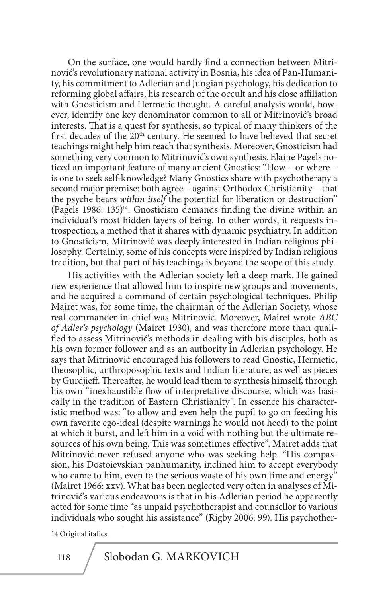On the surface, one would hardly find a connection between Mitrinović's revolutionary national activity in Bosnia, his idea of Pan-Humanity, his commitment to Adlerian and Jungian psychology, his dedication to reforming global affairs, his research of the occult and his close affiliation with Gnosticism and Hermetic thought. A careful analysis would, however, identify one key denominator common to all of Mitrinović's broad interests. That is a quest for synthesis, so typical of many thinkers of the first decades of the 20<sup>th</sup> century. He seemed to have believed that secret teachings might help him reach that synthesis. Moreover, Gnosticism had something very common to Mitrinović's own synthesis. Elaine Pagels noticed an important feature of many ancient Gnostics: "How – or where – is one to seek self-knowledge? Many Gnostics share with psychotherapy a second major premise: both agree – against Orthodox Christianity – that the psyche bears *within itself* the potential for liberation or destruction" (Pagels 1986:  $135$ <sup>14</sup>. Gnosticism demands finding the divine within an individual's most hidden layers of being. In other words, it requests introspection, a method that it shares with dynamic psychiatry. In addition to Gnosticism, Mitrinović was deeply interested in Indian religious philosophy. Certainly, some of his concepts were inspired by Indian religious tradition, but that part of his teachings is beyond the scope of this study.

His activities with the Adlerian society left a deep mark. He gained new experience that allowed him to inspire new groups and movements, and he acquired a command of certain psychological techniques. Philip Mairet was, for some time, the chairman of the Adlerian Society, whose real commander-in-chief was Mitrinović. Moreover, Mairet wrote *ABC of Adler's psychology* (Mairet 1930), and was therefore more than qualified to assess Mitrinović's methods in dealing with his disciples, both as his own former follower and as an authority in Adlerian psychology. He says that Mitrinović encouraged his followers to read Gnostic, Hermetic, theosophic, anthroposophic texts and Indian literature, as well as pieces by Gurdjieff. Thereafter, he would lead them to synthesis himself, through his own "inexhaustible flow of interpretative discourse, which was basically in the tradition of Eastern Christianity". In essence his characteristic method was: "to allow and even help the pupil to go on feeding his own favorite ego-ideal (despite warnings he would not heed) to the point at which it burst, and left him in a void with nothing but the ultimate resources of his own being. This was sometimes effective". Mairet adds that Mitrinović never refused anyone who was seeking help. "His compassion, his Dostoievskian panhumanity, inclined him to accept everybody who came to him, even to the serious waste of his own time and energy" (Mairet 1966: xxv). What has been neglected very often in analyses of Mitrinović's various endeavours is that in his Adlerian period he apparently acted for some time "as unpaid psychotherapist and counsellor to various individuals who sought his assistance" (Rigby 2006: 99). His psychother-

14 Original italics.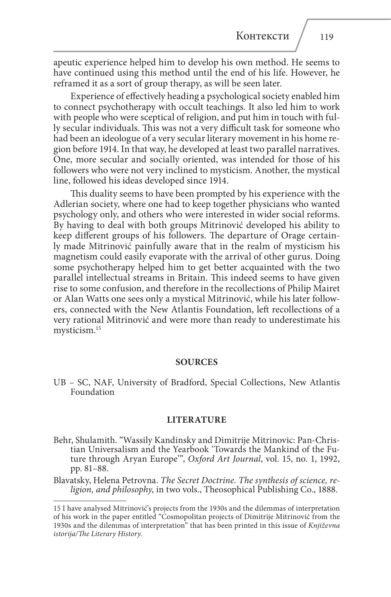apeutic experience helped him to develop his own method. He seems to have continued using this method until the end of his life. However, he reframed it as a sort of group therapy, as will be seen later.

Experience of effectively heading a psychological society enabled him to connect psychotherapy with occult teachings. It also led him to work with people who were sceptical of religion, and put him in touch with fully secular individuals. This was not a very difficult task for someone who had been an ideologue of a very secular literary movement in his home region before 1914. In that way, he developed at least two parallel narratives. One, more secular and socially oriented, was intended for those of his followers who were not very inclined to mysticism. Another, the mystical line, followed his ideas developed since 1914.

This duality seems to have been prompted by his experience with the Adlerian society, where one had to keep together physicians who wanted psychology only, and others who were interested in wider social reforms. By having to deal with both groups Mitrinović developed his ability to keep different groups of his followers. The departure of Orage certainly made Mitrinović painfully aware that in the realm of mysticism his magnetism could easily evaporate with the arrival of other gurus. Doing some psychotherapy helped him to get better acquainted with the two parallel intellectual streams in Britain. This indeed seems to have given rise to some confusion, and therefore in the recollections of Philip Mairet or Alan Watts one sees only a mystical Mitrinović, while his later followers, connected with the New Atlantis Foundation, left recollections of a very rational Mitrinović and were more than ready to underestimate his mysticism.15

#### **SOURCES**

UB – SC, NAF, University of Bradford, Special Collections, New Atlantis Foundation

#### **LITERATURE**

- Behr, Shulamith. "Wassily Kandinsky and Dimitrije Mitrinovic: Pan-Christure through Aryan Europe<sup>'"</sup>, *Oxford Art Journal*, vol. 15, no. 1, 1992, pp. 81–88.
- Blavatsky, Helena Petrovna. *The Secret Doctrine. The synthesis of science, re- ligion, and philosophy*, in two vols., Theosophical Publishing Co., 1888.

<sup>15</sup> I have analysed Mitrinović's projects from the 1930s and the dilemmas of interpretation of his work in the paper entitled "Cosmopolitan projects of Dimitrije Mitrinović from the 1930s and the dilemmas of interpretation" that has been printed in this issue of *Književna istorija/The Literary History*.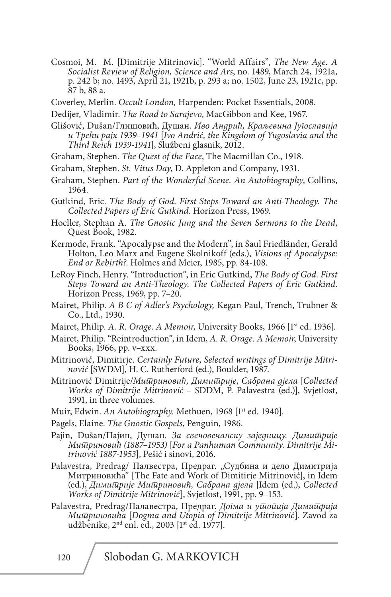- Cosmoi, M. M. [Dimitrije Mitrinovic]. "World Affairs", *The New Age. A Socialist Review of Religion, Science and Ars*, no. 1489, March 24, 1921a, p. 242 b; no. 1493, April 21, 1921b, p. 293 a; no. 1502, June 23, 1921c, pp. 87 b, 88 a.
- Coverley, Merlin. *Occult London,* Harpenden: Pocket Essentials, 2008.
- Dedijer, Vladimir. *The Road to Sarajevo*, MacGibbon and Kee, 1967.
- Glišović, Dušan/Глишовић, Душан. *Иво Андрић, Краљевина Југославија и Трећи рајх 1939–1941* [*Ivo Andrić, the Kingdom of Yugoslavia and the Third Reich 1939-1941*], Službeni glasnik, 2012.
- Graham, Stephen. *The Quest of the Face*, The Macmillan Co., 1918.
- Graham, Stephen. *St. Vitus Day*, D. Appleton and Company, 1931.
- Graham, Stephen. *Part of the Wonderful Scene. An Autobiography*, Collins, 1964.
- Gutkind, Eric. *The Body of God. First Steps Toward an Anti-Theology. The Collected Papers of Eric Gutkind*. Horizon Press, 1969.
- Hoeller, Stephan A. *The Gnostic Jung and the Seven Sermons to the Dead*, Quest Book, 1982.
- Kermode, Frank. "Apocalypse and the Modern", in Saul Friedländer, Gerald Holton, Leo Marx and Eugene Skolnikoff (eds.), *Visions of Apocalypse: End or Rebirth?*. Holmes and Meier, 1985, pp. 84-108.
- LeRoy Finch, Henry. "Introduction", in Eric Gutkind, *The Body of God. First Steps Toward an Anti-Theology. The Collected Papers of Eric Gutkind*. Horizon Press, 1969, pp. 7–20.
- Mairet, Philip. *A B C of Adler's Psychology,* Kegan Paul, Trench, Trubner & Co., Ltd., 1930.
- Mairet, Philip. A. R. Orage. A Memoir, University Books, 1966 [1st ed. 1936].
- Mairet, Philip. "Reintroduction", in Idem, *A. R. Orage. A Memoir*, University Books, 1966, pp. v–xxx.
- Mitrinović, Dimitirje. *Certainly Future*, *Selected writings of Dimitrije Mitrinović* [SWDM], H. C. Rutherford (ed.), Boulder, 1987.
- Mitrinović Dimitrije/*Митриновић, Димитрије*, *Сабрана дјела* [*Collected Works of Dimitrije Mitrinović* – SDDM, P. Palavestra (ed.)], Svjetlost, 1991, in three volumes.
- Muir, Edwin. *An Autobiography*. Methuen, 1968 [1<sup>st</sup> ed. 1940].
- Pagels, Elaine. *The Gnostic Gospels*, Penguin, 1986.
- Pajin, Dušan/Пајин, Душан. *За свечовечанску заједницу. Димитрије Митриновић (1887–1953)* [*For a Panhuman Community. Dimitrije Mitrinović 1887-1953*], Pešić i sinovi, 2016.
- Palavestra, Predrag/ Палвестра, Предраг. "Судбина и дело Димитрија Митриновића" [The Fate and Work of Dimitirje Mitrinović], in Idem (ed.), *Димитрије Митриновић, Сабрана дјела* [Idem (ed.), *Collected Works of Dimitrije Mitrinović*], Svjetlost, 1991, pp. 9–153.
- Palavestra, Predrag/Палавестра, Предраг. *Догма и утопија Димитрија Митриновића* [*Dogma and Utopia of Dimitrije Mitrinović*]. Zavod za udžbenike, 2nd enl. ed., 2003 [1st ed. 1977].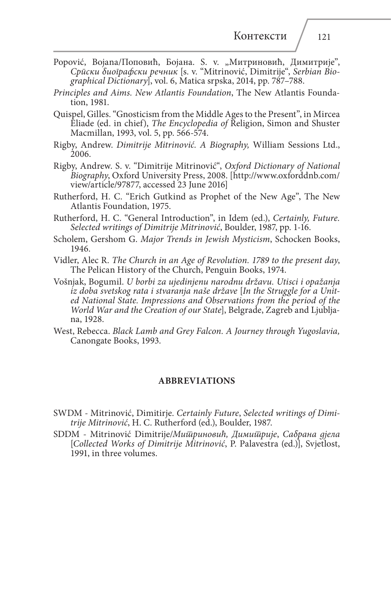- Popović, Bojana/Поповић, Бојана. S. v. "Митриновић, Димитрије", *Српски биографски речник* [s. v. "Mitrinović, Dimitrije", *Serbian Biographical Dictionary*], vol. 6, Matica srpska, 2014, pp. 787–788.
- *Principles and Aims. New Atlantis Foundation*, The New Atlantis Foundation, 1981.
- Quispel, Gilles. "Gnosticism from the Middle Ages to the Present", in Mircea Eliade (ed. in chief), *The Encyclopedia of* Religion, Simon and Shuster Macmillan, 1993, vol. 5, pp. 566-574.
- Rigby, Andrew. *Dimitrije Mitrinović. A Biography,* William Sessions Ltd., 2006.
- Rigby, Andrew. S. v. "Dimitrije Mitrinović", *Oxford Dictionary of National Biography*, Oxford University Press, 2008. [http://www.oxforddnb.com/ view/article/97877, accessed 23 June 2016]
- Rutherford, H. C. "Erich Gutkind as Prophet of the New Age", The New Atlantis Foundation, 1975.
- Rutherford, H. C. "General Introduction", in Idem (ed.), *Certainly, Future. Selected writings of Dimitrije Mitrinović*, Boulder, 1987, pp. 1-16.
- Scholem, Gershom G. *Major Trends in Jewish Mysticism*, Schocken Books, 1946.
- Vidler, Alec R. *The Church in an Age of Revolution. 1789 to the present day*, The Pelican History of the Church, Penguin Books, 1974.
- Vošnjak, Bogumil. *U borbi za ujedinjenu narodnu državu. Utisci i opažanja iz doba svetskog rata i stvaranja naše države* [*In the Struggle for a Unit- ed National State. Impressions and Observations from the period of the World War and the Creation of our State*], Belgrade, Zagreb and Ljubljana, 1928.
- West, Rebecca. *Black Lamb and Grey Falcon. A Journey through Yugoslavia,*  Canongate Books, 1993.

#### **ABBREVIATIONS**

- SWDM Mitrinović, Dimitirje. *Certainly Future*, *Selected writings of Dimitrije Mitrinović*, H. C. Rutherford (ed.), Boulder, 1987.
- SDDM Mitrinović Dimitrije/*Митриновић, Димитрије*, *Сабрана дјела* [*Collected Works of Dimitrije Mitrinović*, P. Palavestra (ed.)], Svjetlost, 1991, in three volumes.